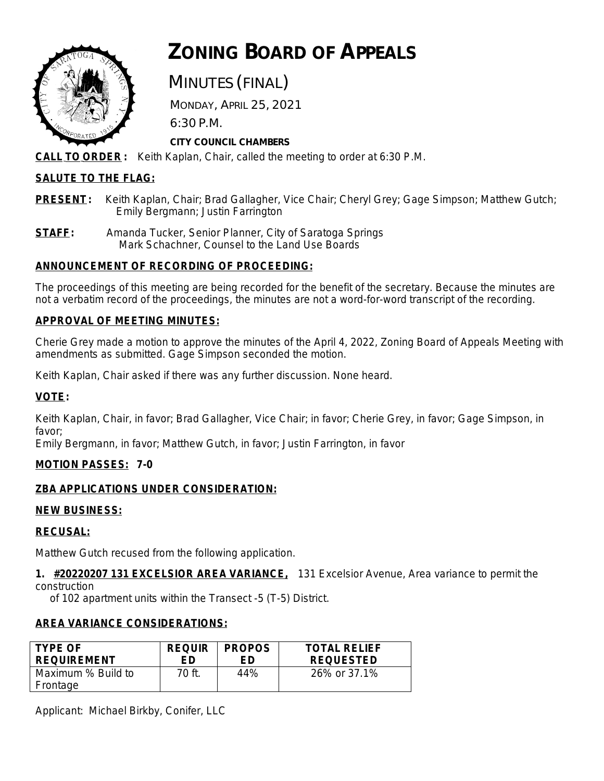

# **ZONING BOARD OF APPEALS**

## MINUTES (FINAL)

 MONDAY, APRIL 25, 2021 6:30 P.M.

## **CITY COUNCIL CHAMBERS**

**CALL TO ORDER :** Keith Kaplan, Chair, called the meeting to order at 6:30 P.M.

## **SALUTE TO THE FLAG:**

- **PRESENT:** Keith Kaplan, Chair; Brad Gallagher, Vice Chair; Cheryl Grey; Gage Simpson; Matthew Gutch; Emily Bergmann; Justin Farrington
- **STAFF:** Amanda Tucker, Senior Planner, City of Saratoga Springs Mark Schachner, Counsel to the Land Use Boards

## **ANNOUNCEMENT OF RECORDING OF PROCEEDING:**

The proceedings of this meeting are being recorded for the benefit of the secretary. Because the minutes are not a verbatim record of the proceedings, the minutes are not a word-for-word transcript of the recording.

## **APPROVAL OF MEETING MINUTES:**

Cherie Grey made a motion to approve the minutes of the April 4, 2022, Zoning Board of Appeals Meeting with amendments as submitted. Gage Simpson seconded the motion.

Keith Kaplan, Chair asked if there was any further discussion. None heard.

## **VOTE:**

Keith Kaplan, Chair, in favor; Brad Gallagher, Vice Chair; in favor; Cherie Grey, in favor; Gage Simpson, in favor;

Emily Bergmann, in favor; Matthew Gutch, in favor; Justin Farrington, in favor

## **MOTION PASSES: 7-0**

## **ZBA APPLICATIONS UNDER CONSIDERATION:**

## **NEW BUSINESS:**

## **RECUSAL:**

Matthew Gutch recused from the following application.

**1. #20220207 131 EXCELSIOR AREA VARIANCE,** 131 Excelsior Avenue, Area variance to permit the construction

of 102 apartment units within the Transect -5 (T-5) District.

## **AREA VARIANCE CONSIDERATIONS:**

| <b>TYPE OF</b>                 | <b>REQUIR</b> | <b>PROPOS</b> | <b>TOTAL RELIEF</b> |
|--------------------------------|---------------|---------------|---------------------|
| <b>REQUIREMENT</b>             | FD            | FD            | <b>REQUESTED</b>    |
| Maximum % Build to<br>Frontage | 70 ft.        | 44%           | 26% or 37.1%        |

Applicant: Michael Birkby, Conifer, LLC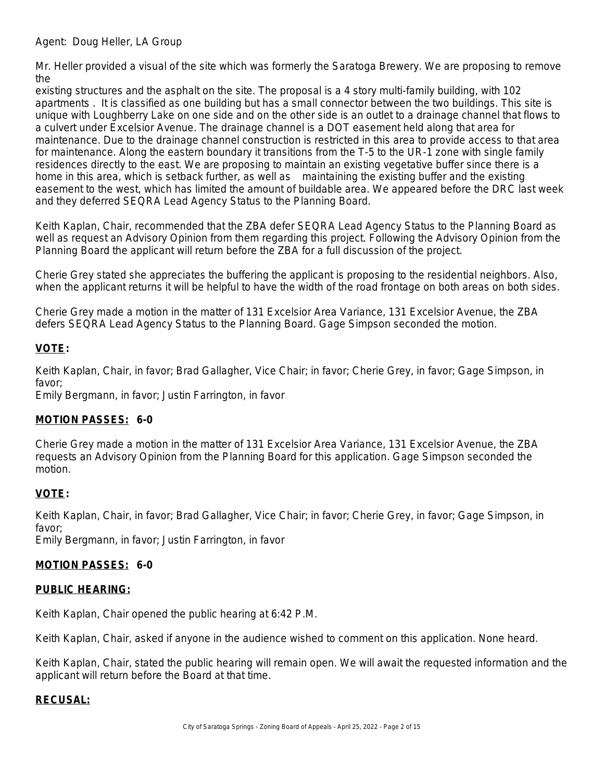Agent: Doug Heller, LA Group

Mr. Heller provided a visual of the site which was formerly the Saratoga Brewery. We are proposing to remove the

existing structures and the asphalt on the site. The proposal is a 4 story multi-family building, with 102 apartments . It is classified as one building but has a small connector between the two buildings. This site is unique with Loughberry Lake on one side and on the other side is an outlet to a drainage channel that flows to a culvert under Excelsior Avenue. The drainage channel is a DOT easement held along that area for maintenance. Due to the drainage channel construction is restricted in this area to provide access to that area for maintenance. Along the eastern boundary it transitions from the T-5 to the UR-1 zone with single family residences directly to the east. We are proposing to maintain an existing vegetative buffer since there is a home in this area, which is setback further, as well as maintaining the existing buffer and the existing easement to the west, which has limited the amount of buildable area. We appeared before the DRC last week and they deferred SEQRA Lead Agency Status to the Planning Board.

Keith Kaplan, Chair, recommended that the ZBA defer SEQRA Lead Agency Status to the Planning Board as well as request an Advisory Opinion from them regarding this project. Following the Advisory Opinion from the Planning Board the applicant will return before the ZBA for a full discussion of the project.

Cherie Grey stated she appreciates the buffering the applicant is proposing to the residential neighbors. Also, when the applicant returns it will be helpful to have the width of the road frontage on both areas on both sides.

Cherie Grey made a motion in the matter of 131 Excelsior Area Variance, 131 Excelsior Avenue, the ZBA defers SEQRA Lead Agency Status to the Planning Board. Gage Simpson seconded the motion.

## **VOTE:**

Keith Kaplan, Chair, in favor; Brad Gallagher, Vice Chair; in favor; Cherie Grey, in favor; Gage Simpson, in favor;

Emily Bergmann, in favor; Justin Farrington, in favor

## **MOTION PASSES: 6-0**

Cherie Grey made a motion in the matter of 131 Excelsior Area Variance, 131 Excelsior Avenue, the ZBA requests an Advisory Opinion from the Planning Board for this application. Gage Simpson seconded the motion.

## **VOTE:**

Keith Kaplan, Chair, in favor; Brad Gallagher, Vice Chair; in favor; Cherie Grey, in favor; Gage Simpson, in favor;

Emily Bergmann, in favor; Justin Farrington, in favor

#### **MOTION PASSES: 6-0**

#### **PUBLIC HEARING:**

Keith Kaplan, Chair opened the public hearing at 6:42 P.M.

Keith Kaplan, Chair, asked if anyone in the audience wished to comment on this application. None heard.

Keith Kaplan, Chair, stated the public hearing will remain open. We will await the requested information and the applicant will return before the Board at that time.

#### **RECUSAL:**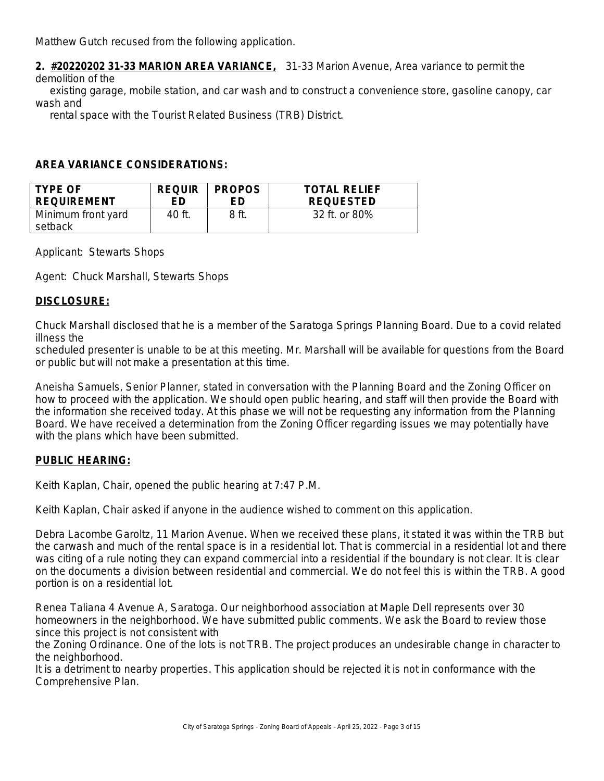Matthew Gutch recused from the following application.

**2. #20220202 31-33 MARION AREA VARIANCE,** 31-33 Marion Avenue, Area variance to permit the demolition of the

 existing garage, mobile station, and car wash and to construct a convenience store, gasoline canopy, car wash and

rental space with the Tourist Related Business (TRB) District.

#### **AREA VARIANCE CONSIDERATIONS:**

| <b>TYPE OF</b>                | <b>REQUIR</b> | <b>PROPOS</b> | <b>TOTAL RELIEF</b> |
|-------------------------------|---------------|---------------|---------------------|
| <b>REQUIREMENT</b>            | FD            | FD            | <b>REQUESTED</b>    |
| Minimum front yard<br>setback | 40 ft.        | 8 ft          | 32 ft. or 80%       |

Applicant: Stewarts Shops

Agent: Chuck Marshall, Stewarts Shops

#### **DISCLOSURE:**

Chuck Marshall disclosed that he is a member of the Saratoga Springs Planning Board. Due to a covid related illness the

scheduled presenter is unable to be at this meeting. Mr. Marshall will be available for questions from the Board or public but will not make a presentation at this time.

Aneisha Samuels, Senior Planner, stated in conversation with the Planning Board and the Zoning Officer on how to proceed with the application. We should open public hearing, and staff will then provide the Board with the information she received today. At this phase we will not be requesting any information from the Planning Board. We have received a determination from the Zoning Officer regarding issues we may potentially have with the plans which have been submitted.

#### **PUBLIC HEARING:**

Keith Kaplan, Chair, opened the public hearing at 7:47 P.M.

Keith Kaplan, Chair asked if anyone in the audience wished to comment on this application.

Debra Lacombe Garoltz, 11 Marion Avenue. When we received these plans, it stated it was within the TRB but the carwash and much of the rental space is in a residential lot. That is commercial in a residential lot and there was citing of a rule noting they can expand commercial into a residential if the boundary is not clear. It is clear on the documents a division between residential and commercial. We do not feel this is within the TRB. A good portion is on a residential lot.

Renea Taliana 4 Avenue A, Saratoga. Our neighborhood association at Maple Dell represents over 30 homeowners in the neighborhood. We have submitted public comments. We ask the Board to review those since this project is not consistent with

the Zoning Ordinance. One of the lots is not TRB. The project produces an undesirable change in character to the neighborhood.

It is a detriment to nearby properties. This application should be rejected it is not in conformance with the Comprehensive Plan.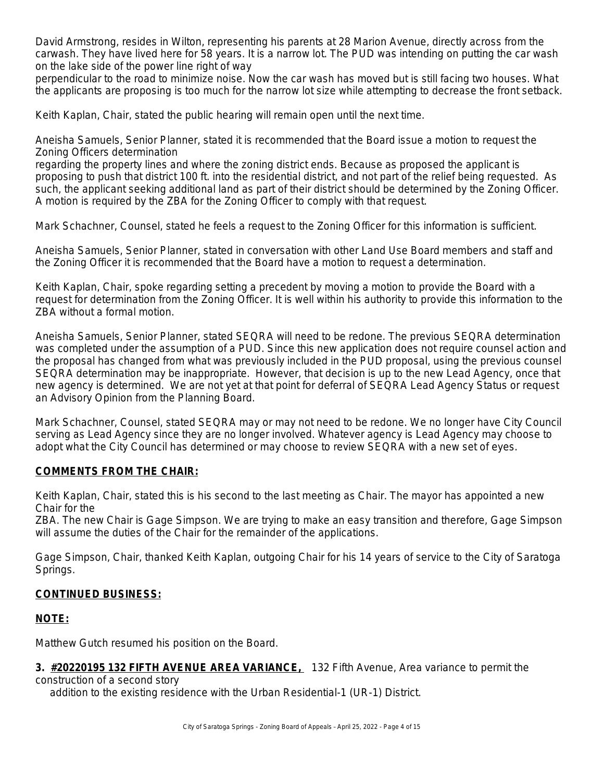David Armstrong, resides in Wilton, representing his parents at 28 Marion Avenue, directly across from the carwash. They have lived here for 58 years. It is a narrow lot. The PUD was intending on putting the car wash on the lake side of the power line right of way

perpendicular to the road to minimize noise. Now the car wash has moved but is still facing two houses. What the applicants are proposing is too much for the narrow lot size while attempting to decrease the front setback.

Keith Kaplan, Chair, stated the public hearing will remain open until the next time.

Aneisha Samuels, Senior Planner, stated it is recommended that the Board issue a motion to request the Zoning Officers determination

regarding the property lines and where the zoning district ends. Because as proposed the applicant is proposing to push that district 100 ft. into the residential district, and not part of the relief being requested. As such, the applicant seeking additional land as part of their district should be determined by the Zoning Officer. A motion is required by the ZBA for the Zoning Officer to comply with that request.

Mark Schachner, Counsel, stated he feels a request to the Zoning Officer for this information is sufficient.

Aneisha Samuels, Senior Planner, stated in conversation with other Land Use Board members and staff and the Zoning Officer it is recommended that the Board have a motion to request a determination.

Keith Kaplan, Chair, spoke regarding setting a precedent by moving a motion to provide the Board with a request for determination from the Zoning Officer. It is well within his authority to provide this information to the ZBA without a formal motion.

Aneisha Samuels, Senior Planner, stated SEQRA will need to be redone. The previous SEQRA determination was completed under the assumption of a PUD. Since this new application does not require counsel action and the proposal has changed from what was previously included in the PUD proposal, using the previous counsel SEQRA determination may be inappropriate. However, that decision is up to the new Lead Agency, once that new agency is determined. We are not yet at that point for deferral of SEQRA Lead Agency Status or request an Advisory Opinion from the Planning Board.

Mark Schachner, Counsel, stated SEQRA may or may not need to be redone. We no longer have City Council serving as Lead Agency since they are no longer involved. Whatever agency is Lead Agency may choose to adopt what the City Council has determined or may choose to review SEQRA with a new set of eyes.

#### **COMMENTS FROM THE CHAIR:**

Keith Kaplan, Chair, stated this is his second to the last meeting as Chair. The mayor has appointed a new Chair for the

ZBA. The new Chair is Gage Simpson. We are trying to make an easy transition and therefore, Gage Simpson will assume the duties of the Chair for the remainder of the applications.

Gage Simpson, Chair, thanked Keith Kaplan, outgoing Chair for his 14 years of service to the City of Saratoga Springs.

#### **CONTINUED BUSINESS:**

#### **NOTE:**

Matthew Gutch resumed his position on the Board.

**3. #20220195 132 FIFTH AVENUE AREA VARIANCE,** 132 Fifth Avenue, Area variance to permit the

construction of a second story addition to the existing residence with the Urban Residential-1 (UR-1) District.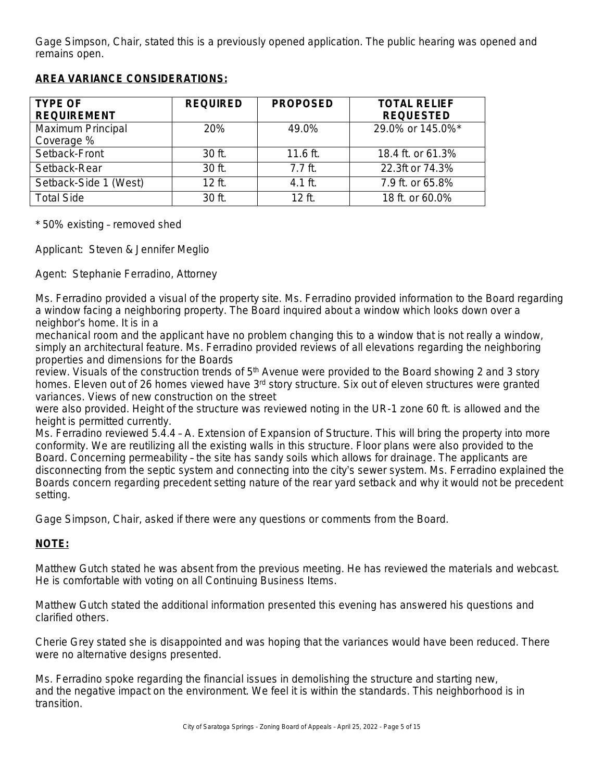Gage Simpson, Chair, stated this is a previously opened application. The public hearing was opened and remains open.

## **AREA VARIANCE CONSIDERATIONS:**

| <b>TYPE OF</b><br><b>REQUIREMENT</b> | <b>REQUIRED</b> | <b>PROPOSED</b> | <b>TOTAL RELIEF</b><br><b>REQUESTED</b> |
|--------------------------------------|-----------------|-----------------|-----------------------------------------|
| Maximum Principal<br>Coverage %      | 20%             | 49.0%           | 29.0% or 145.0%*                        |
| Setback-Front                        | $30$ ft.        | $11.6$ ft.      | 18.4 ft. or 61.3%                       |
| Setback-Rear                         | 30 ft.          | $7.7$ ft.       | 22.3ft or 74.3%                         |
| Setback-Side 1 (West)                | $12$ ft.        | $4.1$ ft.       | 7.9 ft. or 65.8%                        |
| <b>Total Side</b>                    | 30 ft.          | $12$ ft         | 18 ft. or 60.0%                         |

\* 50% existing – removed shed

Applicant: Steven & Jennifer Meglio

Agent: Stephanie Ferradino, Attorney

Ms. Ferradino provided a visual of the property site. Ms. Ferradino provided information to the Board regarding a window facing a neighboring property. The Board inquired about a window which looks down over a neighbor's home. It is in a

mechanical room and the applicant have no problem changing this to a window that is not really a window, simply an architectural feature. Ms. Ferradino provided reviews of all elevations regarding the neighboring properties and dimensions for the Boards

review. Visuals of the construction trends of  $5<sup>th</sup>$  Avenue were provided to the Board showing 2 and 3 story homes. Eleven out of 26 homes viewed have 3<sup>rd</sup> story structure. Six out of eleven structures were granted variances. Views of new construction on the street

were also provided. Height of the structure was reviewed noting in the UR-1 zone 60 ft. is allowed and the height is permitted currently.

Ms. Ferradino reviewed 5.4.4 – A. Extension of Expansion of Structure. This will bring the property into more conformity. We are reutilizing all the existing walls in this structure. Floor plans were also provided to the Board. Concerning permeability – the site has sandy soils which allows for drainage. The applicants are disconnecting from the septic system and connecting into the city's sewer system. Ms. Ferradino explained the Boards concern regarding precedent setting nature of the rear yard setback and why it would not be precedent setting.

Gage Simpson, Chair, asked if there were any questions or comments from the Board.

## **NOTE:**

Matthew Gutch stated he was absent from the previous meeting. He has reviewed the materials and webcast. He is comfortable with voting on all Continuing Business Items.

Matthew Gutch stated the additional information presented this evening has answered his questions and clarified others.

Cherie Grey stated she is disappointed and was hoping that the variances would have been reduced. There were no alternative designs presented.

Ms. Ferradino spoke regarding the financial issues in demolishing the structure and starting new, and the negative impact on the environment. We feel it is within the standards. This neighborhood is in transition.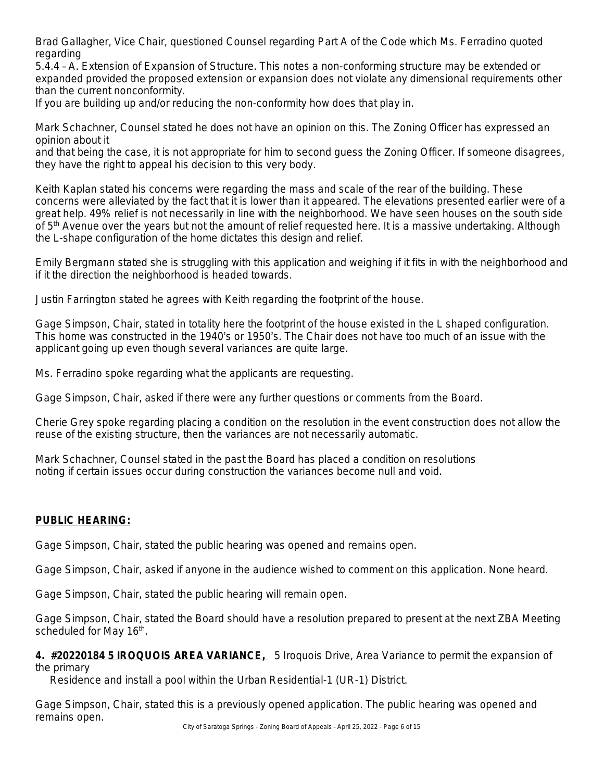Brad Gallagher, Vice Chair, questioned Counsel regarding Part A of the Code which Ms. Ferradino quoted regarding

5.4.4 – A. Extension of Expansion of Structure. This notes a non-conforming structure may be extended or expanded provided the proposed extension or expansion does not violate any dimensional requirements other than the current nonconformity.

If you are building up and/or reducing the non-conformity how does that play in.

Mark Schachner, Counsel stated he does not have an opinion on this. The Zoning Officer has expressed an opinion about it

and that being the case, it is not appropriate for him to second guess the Zoning Officer. If someone disagrees, they have the right to appeal his decision to this very body.

Keith Kaplan stated his concerns were regarding the mass and scale of the rear of the building. These concerns were alleviated by the fact that it is lower than it appeared. The elevations presented earlier were of a great help. 49% relief is not necessarily in line with the neighborhood. We have seen houses on the south side of 5<sup>th</sup> Avenue over the years but not the amount of relief requested here. It is a massive undertaking. Although the L-shape configuration of the home dictates this design and relief.

Emily Bergmann stated she is struggling with this application and weighing if it fits in with the neighborhood and if it the direction the neighborhood is headed towards.

Justin Farrington stated he agrees with Keith regarding the footprint of the house.

Gage Simpson, Chair, stated in totality here the footprint of the house existed in the L shaped configuration. This home was constructed in the 1940's or 1950's. The Chair does not have too much of an issue with the applicant going up even though several variances are quite large.

Ms. Ferradino spoke regarding what the applicants are requesting.

Gage Simpson, Chair, asked if there were any further questions or comments from the Board.

Cherie Grey spoke regarding placing a condition on the resolution in the event construction does not allow the reuse of the existing structure, then the variances are not necessarily automatic.

Mark Schachner, Counsel stated in the past the Board has placed a condition on resolutions noting if certain issues occur during construction the variances become null and void.

## **PUBLIC HEARING:**

Gage Simpson, Chair, stated the public hearing was opened and remains open.

Gage Simpson, Chair, asked if anyone in the audience wished to comment on this application. None heard.

Gage Simpson, Chair, stated the public hearing will remain open.

Gage Simpson, Chair, stated the Board should have a resolution prepared to present at the next ZBA Meeting scheduled for May 16<sup>th</sup>.

**4. #20220184 5 IROQUOIS AREA VARIANCE,** 5 Iroquois Drive, Area Variance to permit the expansion of the primary

Residence and install a pool within the Urban Residential-1 (UR-1) District.

Gage Simpson, Chair, stated this is a previously opened application. The public hearing was opened and remains open.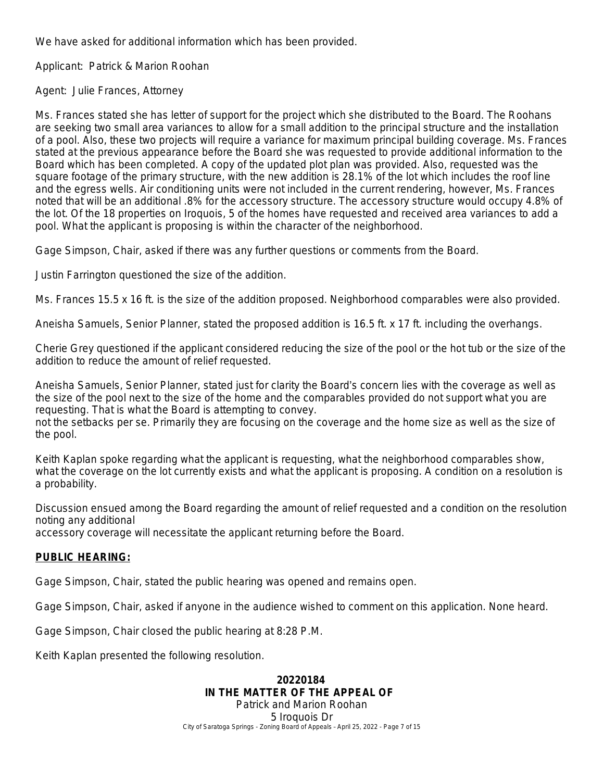We have asked for additional information which has been provided.

Applicant: Patrick & Marion Roohan

Agent: Julie Frances, Attorney

Ms. Frances stated she has letter of support for the project which she distributed to the Board. The Roohans are seeking two small area variances to allow for a small addition to the principal structure and the installation of a pool. Also, these two projects will require a variance for maximum principal building coverage. Ms. Frances stated at the previous appearance before the Board she was requested to provide additional information to the Board which has been completed. A copy of the updated plot plan was provided. Also, requested was the square footage of the primary structure, with the new addition is 28.1% of the lot which includes the roof line and the egress wells. Air conditioning units were not included in the current rendering, however, Ms. Frances noted that will be an additional .8% for the accessory structure. The accessory structure would occupy 4.8% of the lot. Of the 18 properties on Iroquois, 5 of the homes have requested and received area variances to add a pool. What the applicant is proposing is within the character of the neighborhood.

Gage Simpson, Chair, asked if there was any further questions or comments from the Board.

Justin Farrington questioned the size of the addition.

Ms. Frances 15.5 x 16 ft. is the size of the addition proposed. Neighborhood comparables were also provided.

Aneisha Samuels, Senior Planner, stated the proposed addition is 16.5 ft. x 17 ft. including the overhangs.

Cherie Grey questioned if the applicant considered reducing the size of the pool or the hot tub or the size of the addition to reduce the amount of relief requested.

Aneisha Samuels, Senior Planner, stated just for clarity the Board's concern lies with the coverage as well as the size of the pool next to the size of the home and the comparables provided do not support what you are requesting. That is what the Board is attempting to convey.

not the setbacks per se. Primarily they are focusing on the coverage and the home size as well as the size of the pool.

Keith Kaplan spoke regarding what the applicant is requesting, what the neighborhood comparables show, what the coverage on the lot currently exists and what the applicant is proposing. A condition on a resolution is a probability.

Discussion ensued among the Board regarding the amount of relief requested and a condition on the resolution noting any additional

accessory coverage will necessitate the applicant returning before the Board.

#### **PUBLIC HEARING:**

Gage Simpson, Chair, stated the public hearing was opened and remains open.

Gage Simpson, Chair, asked if anyone in the audience wished to comment on this application. None heard.

Gage Simpson, Chair closed the public hearing at 8:28 P.M.

Keith Kaplan presented the following resolution.

City of Saratoga Springs - Zoning Board of Appeals – April 25, 2022 - Page 7 of 15 **20220184 IN THE MATTER OF THE APPEAL OF** Patrick and Marion Roohan 5 Iroquois Dr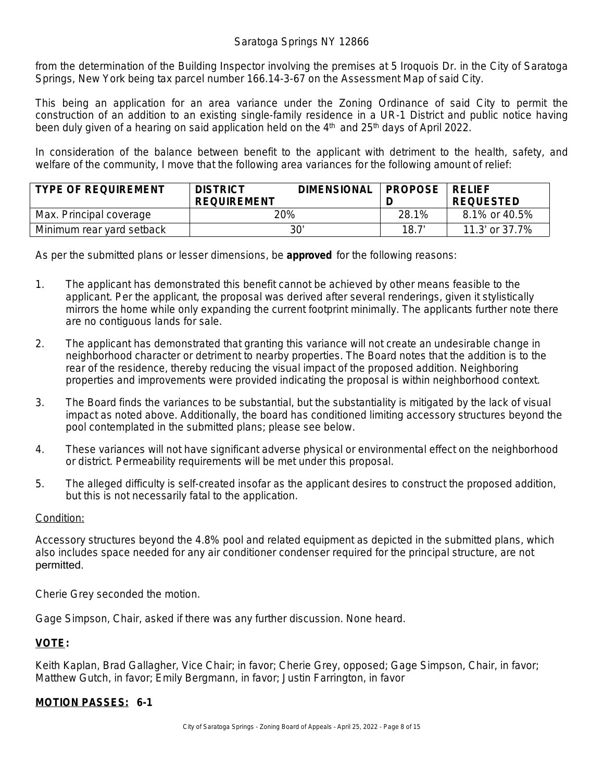from the determination of the Building Inspector involving the premises at 5 Iroquois Dr. in the City of Saratoga Springs, New York being tax parcel number 166.14-3-67 on the Assessment Map of said City.

This being an application for an area variance under the Zoning Ordinance of said City to permit the construction of an addition to an existing single-family residence in a UR-1 District and public notice having been duly given of a hearing on said application held on the  $4<sup>th</sup>$  and  $25<sup>th</sup>$  days of April 2022.

In consideration of the balance between benefit to the applicant with detriment to the health, safety, and welfare of the community, I move that the following area variances for the following amount of relief:

| <b>TYPE OF REQUIREMENT</b> | <b>DISTRICT</b><br><b>REQUIREMENT</b> | <b>DIMENSIONAL</b> | <b>PROPOSE</b> | <b>RELIFE</b><br><b>REQUESTED</b> |
|----------------------------|---------------------------------------|--------------------|----------------|-----------------------------------|
| Max. Principal coverage    | 20%                                   |                    | 28.1%          | 8.1% or 40.5%                     |
| Minimum rear yard setback  | 30'                                   |                    | 18.7'          | 11.3' or 37.7%                    |

As per the submitted plans or lesser dimensions, be **approved** for the following reasons:

- 1. The applicant has demonstrated this benefit cannot be achieved by other means feasible to the applicant. Per the applicant, the proposal was derived after several renderings, given it stylistically mirrors the home while only expanding the current footprint minimally. The applicants further note there are no contiguous lands for sale.
- 2. The applicant has demonstrated that granting this variance will not create an undesirable change in neighborhood character or detriment to nearby properties. The Board notes that the addition is to the rear of the residence, thereby reducing the visual impact of the proposed addition. Neighboring properties and improvements were provided indicating the proposal is within neighborhood context.
- 3. The Board finds the variances to be substantial, but the substantiality is mitigated by the lack of visual impact as noted above. Additionally, the board has conditioned limiting accessory structures beyond the pool contemplated in the submitted plans; please see below.
- 4. These variances will not have significant adverse physical or environmental effect on the neighborhood or district. Permeability requirements will be met under this proposal.
- 5. The alleged difficulty is self-created insofar as the applicant desires to construct the proposed addition, but this is not necessarily fatal to the application.

#### Condition:

Accessory structures beyond the 4.8% pool and related equipment as depicted in the submitted plans, which also includes space needed for any air conditioner condenser required for the principal structure, are not permitted.

Cherie Grey seconded the motion.

Gage Simpson, Chair, asked if there was any further discussion. None heard.

#### **VOTE:**

Keith Kaplan, Brad Gallagher, Vice Chair; in favor; Cherie Grey, opposed; Gage Simpson, Chair, in favor; Matthew Gutch, in favor; Emily Bergmann, in favor; Justin Farrington, in favor

#### **MOTION PASSES: 6-1**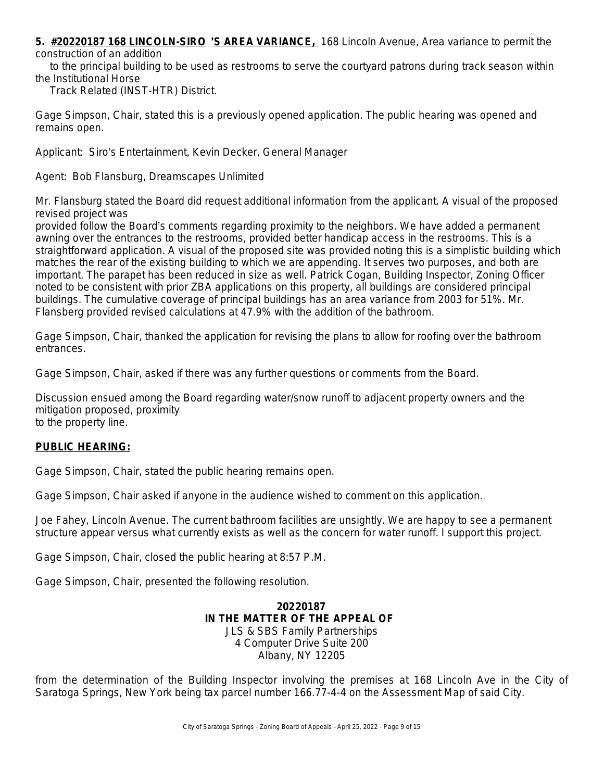**5. #20220187 168 LINCOLN-SIRO** '**S AREA VARIANCE,** 168 Lincoln Avenue, Area variance to permit the construction of an addition

 to the principal building to be used as restrooms to serve the courtyard patrons during track season within the Institutional Horse

Track Related (INST-HTR) District.

Gage Simpson, Chair, stated this is a previously opened application. The public hearing was opened and remains open.

Applicant: Siro's Entertainment, Kevin Decker, General Manager

Agent: Bob Flansburg, Dreamscapes Unlimited

Mr. Flansburg stated the Board did request additional information from the applicant. A visual of the proposed revised project was

provided follow the Board's comments regarding proximity to the neighbors. We have added a permanent awning over the entrances to the restrooms, provided better handicap access in the restrooms. This is a straightforward application. A visual of the proposed site was provided noting this is a simplistic building which matches the rear of the existing building to which we are appending. It serves two purposes, and both are important. The parapet has been reduced in size as well. Patrick Cogan, Building Inspector, Zoning Officer noted to be consistent with prior ZBA applications on this property, all buildings are considered principal buildings. The cumulative coverage of principal buildings has an area variance from 2003 for 51%. Mr. Flansberg provided revised calculations at 47.9% with the addition of the bathroom.

Gage Simpson, Chair, thanked the application for revising the plans to allow for roofing over the bathroom entrances.

Gage Simpson, Chair, asked if there was any further questions or comments from the Board.

Discussion ensued among the Board regarding water/snow runoff to adjacent property owners and the mitigation proposed, proximity to the property line.

#### **PUBLIC HEARING:**

Gage Simpson, Chair, stated the public hearing remains open.

Gage Simpson, Chair asked if anyone in the audience wished to comment on this application.

Joe Fahey, Lincoln Avenue. The current bathroom facilities are unsightly. We are happy to see a permanent structure appear versus what currently exists as well as the concern for water runoff. I support this project.

Gage Simpson, Chair, closed the public hearing at 8:57 P.M.

Gage Simpson, Chair, presented the following resolution.

**20220187 IN THE MATTER OF THE APPEAL OF** JLS & SBS Family Partnerships 4 Computer Drive Suite 200 Albany, NY 12205

from the determination of the Building Inspector involving the premises at 168 Lincoln Ave in the City of Saratoga Springs, New York being tax parcel number 166.77-4-4 on the Assessment Map of said City.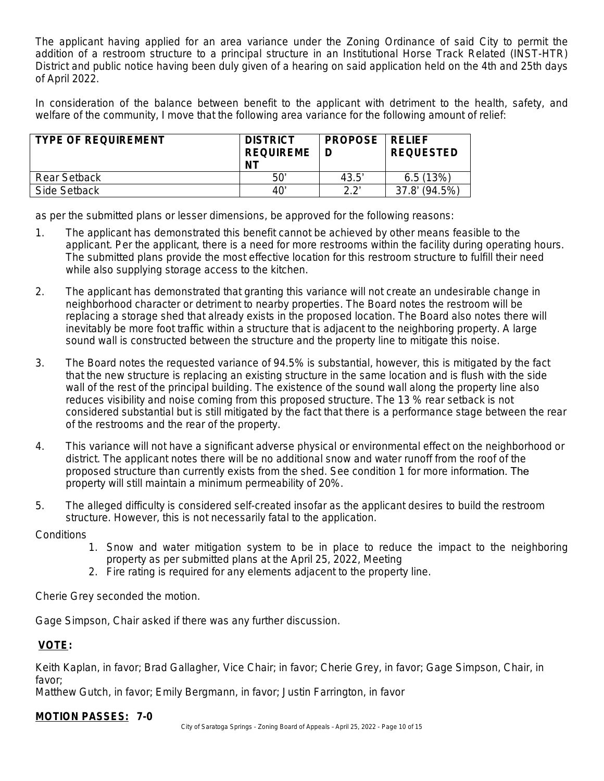The applicant having applied for an area variance under the Zoning Ordinance of said City to permit the addition of a restroom structure to a principal structure in an Institutional Horse Track Related (INST-HTR) District and public notice having been duly given of a hearing on said application held on the 4th and 25th days of April 2022.

In consideration of the balance between benefit to the applicant with detriment to the health, safety, and welfare of the community, I move that the following area variance for the following amount of relief:

| <b>TYPE OF REQUIREMENT</b> | <b>DISTRICT</b><br><b>REQUIREME</b><br>ΝT | <b>PROPOSE</b> | ∣RFI IFF<br><b>REQUESTED</b> |
|----------------------------|-------------------------------------------|----------------|------------------------------|
| Rear Setback               | 50'                                       | 43.5'          | 6.5(13%)                     |
| Side Setback               | 40'                                       | יר ר           | $(94.5\%)$<br>37.8'          |

as per the submitted plans or lesser dimensions, be approved for the following reasons:

- 1. The applicant has demonstrated this benefit cannot be achieved by other means feasible to the applicant. Per the applicant, there is a need for more restrooms within the facility during operating hours. The submitted plans provide the most effective location for this restroom structure to fulfill their need while also supplying storage access to the kitchen.
- 2. The applicant has demonstrated that granting this variance will not create an undesirable change in neighborhood character or detriment to nearby properties. The Board notes the restroom will be replacing a storage shed that already exists in the proposed location. The Board also notes there will inevitably be more foot traffic within a structure that is adjacent to the neighboring property. A large sound wall is constructed between the structure and the property line to mitigate this noise.
- 3. The Board notes the requested variance of 94.5% is substantial, however, this is mitigated by the fact that the new structure is replacing an existing structure in the same location and is flush with the side wall of the rest of the principal building. The existence of the sound wall along the property line also reduces visibility and noise coming from this proposed structure. The 13 % rear setback is not considered substantial but is still mitigated by the fact that there is a performance stage between the rear of the restrooms and the rear of the property.
- 4. This variance will not have a significant adverse physical or environmental effect on the neighborhood or district. The applicant notes there will be no additional snow and water runoff from the roof of the proposed structure than currently exists from the shed. See condition 1 for more information. The property will still maintain a minimum permeability of 20%.
- 5. The alleged difficulty is considered self-created insofar as the applicant desires to build the restroom structure. However, this is not necessarily fatal to the application.

**Conditions** 

- 1. Snow and water mitigation system to be in place to reduce the impact to the neighboring property as per submitted plans at the April 25, 2022, Meeting
- 2. Fire rating is required for any elements adjacent to the property line.

Cherie Grey seconded the motion.

Gage Simpson, Chair asked if there was any further discussion.

## **VOTE:**

Keith Kaplan, in favor; Brad Gallagher, Vice Chair; in favor; Cherie Grey, in favor; Gage Simpson, Chair, in favor;

Matthew Gutch, in favor; Emily Bergmann, in favor; Justin Farrington, in favor

## **MOTION PASSES: 7-0**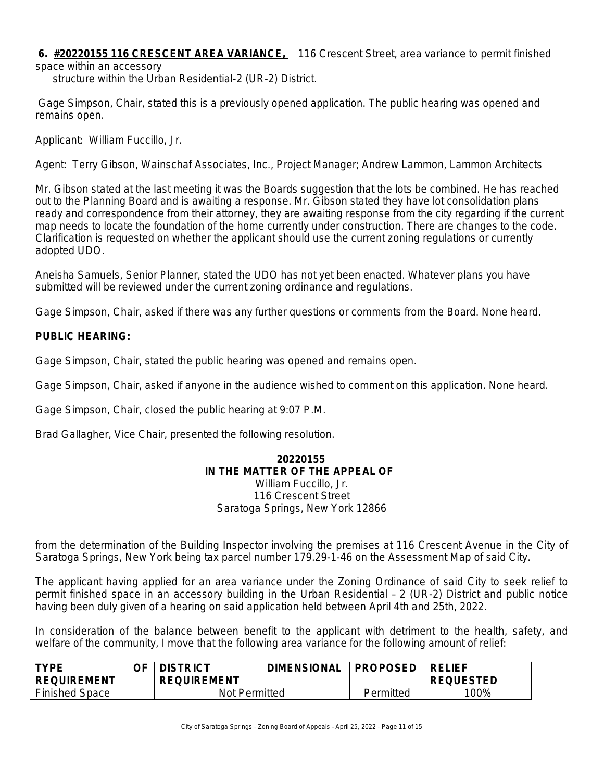**6. #20220155 116 CRESCENT AREA VARIANCE,** 116 Crescent Street, area variance to permit finished space within an accessory

structure within the Urban Residential-2 (UR-2) District.

 Gage Simpson, Chair, stated this is a previously opened application. The public hearing was opened and remains open.

Applicant: William Fuccillo, Jr.

Agent: Terry Gibson, Wainschaf Associates, Inc., Project Manager; Andrew Lammon, Lammon Architects

Mr. Gibson stated at the last meeting it was the Boards suggestion that the lots be combined. He has reached out to the Planning Board and is awaiting a response. Mr. Gibson stated they have lot consolidation plans ready and correspondence from their attorney, they are awaiting response from the city regarding if the current map needs to locate the foundation of the home currently under construction. There are changes to the code. Clarification is requested on whether the applicant should use the current zoning regulations or currently adopted UDO.

Aneisha Samuels, Senior Planner, stated the UDO has not yet been enacted. Whatever plans you have submitted will be reviewed under the current zoning ordinance and regulations.

Gage Simpson, Chair, asked if there was any further questions or comments from the Board. None heard.

#### **PUBLIC HEARING:**

Gage Simpson, Chair, stated the public hearing was opened and remains open.

Gage Simpson, Chair, asked if anyone in the audience wished to comment on this application. None heard.

Gage Simpson, Chair, closed the public hearing at 9:07 P.M.

Brad Gallagher, Vice Chair, presented the following resolution.

#### **20220155 IN THE MATTER OF THE APPEAL OF** William Fuccillo, Jr.

116 Crescent Street Saratoga Springs, New York 12866

from the determination of the Building Inspector involving the premises at 116 Crescent Avenue in the City of Saratoga Springs, New York being tax parcel number 179.29-1-46 on the Assessment Map of said City.

The applicant having applied for an area variance under the Zoning Ordinance of said City to seek relief to permit finished space in an accessory building in the Urban Residential – 2 (UR-2) District and public notice having been duly given of a hearing on said application held between April 4th and 25th, 2022.

In consideration of the balance between benefit to the applicant with detriment to the health, safety, and welfare of the community, I move that the following area variance for the following amount of relief:

| <b>TYPE</b><br><b>REQUIREMENT</b> | ጋF · | <b>DISTRICT</b><br><b>REQUIREMENT</b> | <b>DIMENSIONAL</b> | <b>PROPOSED</b> | <b>RELIEF</b><br><b>REQUESTED</b> |
|-----------------------------------|------|---------------------------------------|--------------------|-----------------|-----------------------------------|
| <b>Finished Space</b>             |      | Not Permitted                         |                    | Permitted       | 100%                              |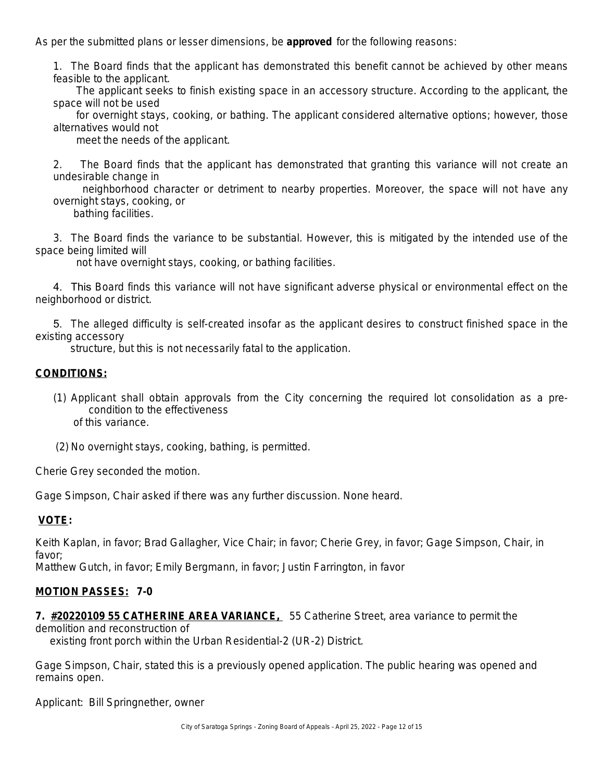As per the submitted plans or lesser dimensions, be **approved** for the following reasons:

1. The Board finds that the applicant has demonstrated this benefit cannot be achieved by other means feasible to the applicant.

The applicant seeks to finish existing space in an accessory structure. According to the applicant, the space will not be used

for overnight stays, cooking, or bathing. The applicant considered alternative options; however, those alternatives would not

meet the needs of the applicant.

2. The Board finds that the applicant has demonstrated that granting this variance will not create an undesirable change in

neighborhood character or detriment to nearby properties. Moreover, the space will not have any overnight stays, cooking, or

bathing facilities.

3. The Board finds the variance to be substantial. However, this is mitigated by the intended use of the space being limited will

not have overnight stays, cooking, or bathing facilities.

4. This Board finds this variance will not have significant adverse physical or environmental effect on the neighborhood or district.

5. The alleged difficulty is self-created insofar as the applicant desires to construct finished space in the existing accessory

structure, but this is not necessarily fatal to the application.

#### **CONDITIONS:**

- (1) Applicant shall obtain approvals from the City concerning the required lot consolidation as a precondition to the effectiveness of this variance.
- (2) No overnight stays, cooking, bathing, is permitted.

Cherie Grey seconded the motion.

Gage Simpson, Chair asked if there was any further discussion. None heard.

#### **VOTE:**

Keith Kaplan, in favor; Brad Gallagher, Vice Chair; in favor; Cherie Grey, in favor; Gage Simpson, Chair, in favor;

Matthew Gutch, in favor; Emily Bergmann, in favor; Justin Farrington, in favor

#### **MOTION PASSES: 7-0**

**7. #20220109 55 CATHERINE AREA VARIANCE,** 55 Catherine Street, area variance to permit the demolition and reconstruction of

existing front porch within the Urban Residential-2 (UR-2) District.

Gage Simpson, Chair, stated this is a previously opened application. The public hearing was opened and remains open.

Applicant: Bill Springnether, owner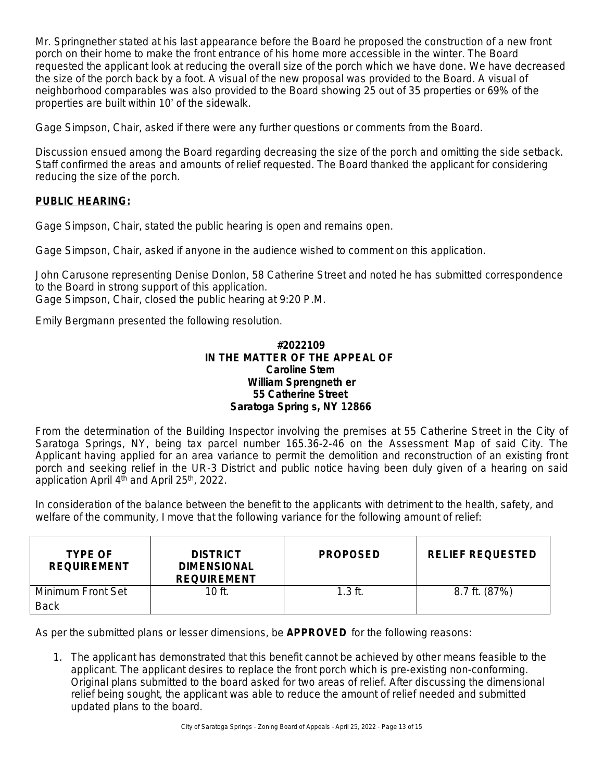Mr. Springnether stated at his last appearance before the Board he proposed the construction of a new front porch on their home to make the front entrance of his home more accessible in the winter. The Board requested the applicant look at reducing the overall size of the porch which we have done. We have decreased the size of the porch back by a foot. A visual of the new proposal was provided to the Board. A visual of neighborhood comparables was also provided to the Board showing 25 out of 35 properties or 69% of the properties are built within 10' of the sidewalk.

Gage Simpson, Chair, asked if there were any further questions or comments from the Board.

Discussion ensued among the Board regarding decreasing the size of the porch and omitting the side setback. Staff confirmed the areas and amounts of relief requested. The Board thanked the applicant for considering reducing the size of the porch.

#### **PUBLIC HEARING:**

Gage Simpson, Chair, stated the public hearing is open and remains open.

Gage Simpson, Chair, asked if anyone in the audience wished to comment on this application.

John Carusone representing Denise Donlon, 58 Catherine Street and noted he has submitted correspondence to the Board in strong support of this application. Gage Simpson, Chair, closed the public hearing at 9:20 P.M.

Emily Bergmann presented the following resolution.

#### **#2022109 IN THE MATTER OF THE APPEAL OF Caroline Stem William Sprengneth er 55 Catherine Street Saratoga Spring s, NY 12866**

From the determination of the Building Inspector involving the premises at 55 Catherine Street in the City of Saratoga Springs, NY, being tax parcel number 165.36-2-46 on the Assessment Map of said City. The Applicant having applied for an area variance to permit the demolition and reconstruction of an existing front porch and seeking relief in the UR-3 District and public notice having been duly given of a hearing on said application April 4<sup>th</sup> and April 25<sup>th</sup>, 2022.

In consideration of the balance between the benefit to the applicants with detriment to the health, safety, and welfare of the community, I move that the following variance for the following amount of relief:

| <b>TYPE OF</b><br><b>REQUIREMENT</b> | <b>DISTRICT</b><br><b>DIMENSIONAL</b><br><b>REQUIREMENT</b> | <b>PROPOSED</b> | <b>RELIEF REQUESTED</b> |
|--------------------------------------|-------------------------------------------------------------|-----------------|-------------------------|
| Minimum Front Set<br><b>Back</b>     | $10$ ft.                                                    | $1.3$ ft.       | 8.7 ft. (87%)           |

As per the submitted plans or lesser dimensions, be **APPROVED** for the following reasons:

1. The applicant has demonstrated that this benefit cannot be achieved by other means feasible to the applicant. The applicant desires to replace the front porch which is pre-existing non-conforming. Original plans submitted to the board asked for two areas of relief. After discussing the dimensional relief being sought, the applicant was able to reduce the amount of relief needed and submitted updated plans to the board.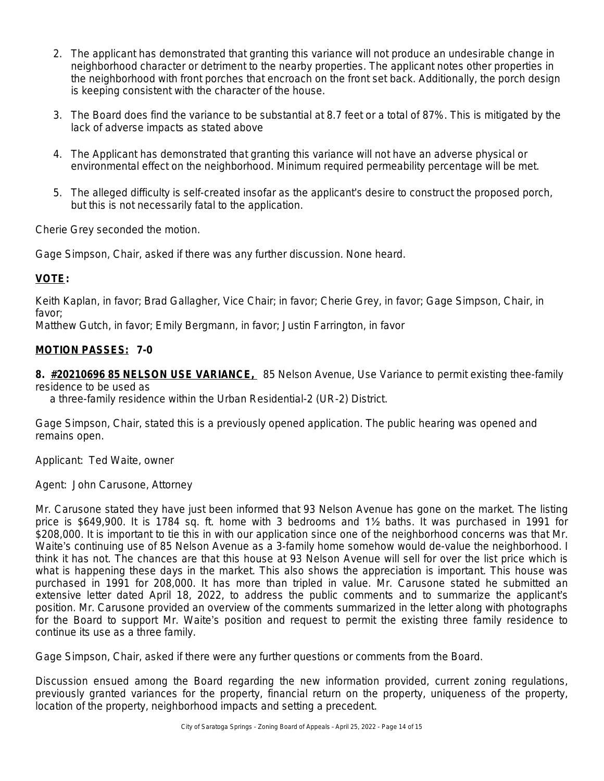- 2. The applicant has demonstrated that granting this variance will not produce an undesirable change in neighborhood character or detriment to the nearby properties. The applicant notes other properties in the neighborhood with front porches that encroach on the front set back. Additionally, the porch design is keeping consistent with the character of the house.
- 3. The Board does find the variance to be substantial at 8.7 feet or a total of 87%. This is mitigated by the lack of adverse impacts as stated above
- 4. The Applicant has demonstrated that granting this variance will not have an adverse physical or environmental effect on the neighborhood. Minimum required permeability percentage will be met.
- 5. The alleged difficulty is self-created insofar as the applicant's desire to construct the proposed porch, but this is not necessarily fatal to the application.

Cherie Grey seconded the motion.

Gage Simpson, Chair, asked if there was any further discussion. None heard.

#### **VOTE:**

Keith Kaplan, in favor; Brad Gallagher, Vice Chair; in favor; Cherie Grey, in favor; Gage Simpson, Chair, in favor;

Matthew Gutch, in favor; Emily Bergmann, in favor; Justin Farrington, in favor

#### **MOTION PASSES: 7-0**

**8. #20210696 85 NELSON USE VARIANCE,** 85 Nelson Avenue, Use Variance to permit existing thee-family residence to be used as

a three-family residence within the Urban Residential-2 (UR-2) District.

Gage Simpson, Chair, stated this is a previously opened application. The public hearing was opened and remains open.

Applicant: Ted Waite, owner

Agent: John Carusone, Attorney

Mr. Carusone stated they have just been informed that 93 Nelson Avenue has gone on the market. The listing price is \$649,900. It is 1784 sq. ft. home with 3 bedrooms and 1½ baths. It was purchased in 1991 for \$208,000. It is important to tie this in with our application since one of the neighborhood concerns was that Mr. Waite's continuing use of 85 Nelson Avenue as a 3-family home somehow would de-value the neighborhood. I think it has not. The chances are that this house at 93 Nelson Avenue will sell for over the list price which is what is happening these days in the market. This also shows the appreciation is important. This house was purchased in 1991 for 208,000. It has more than tripled in value. Mr. Carusone stated he submitted an extensive letter dated April 18, 2022, to address the public comments and to summarize the applicant's position. Mr. Carusone provided an overview of the comments summarized in the letter along with photographs for the Board to support Mr. Waite's position and request to permit the existing three family residence to continue its use as a three family.

Gage Simpson, Chair, asked if there were any further questions or comments from the Board.

Discussion ensued among the Board regarding the new information provided, current zoning regulations, previously granted variances for the property, financial return on the property, uniqueness of the property, location of the property, neighborhood impacts and setting a precedent.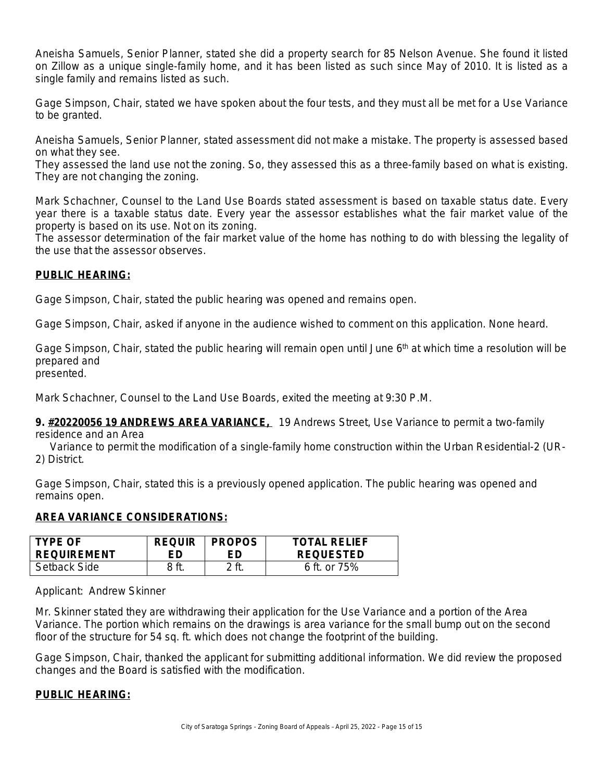Aneisha Samuels, Senior Planner, stated she did a property search for 85 Nelson Avenue. She found it listed on Zillow as a unique single-family home, and it has been listed as such since May of 2010. It is listed as a single family and remains listed as such.

Gage Simpson, Chair, stated we have spoken about the four tests, and they must all be met for a Use Variance to be granted.

Aneisha Samuels, Senior Planner, stated assessment did not make a mistake. The property is assessed based on what they see.

They assessed the land use not the zoning. So, they assessed this as a three-family based on what is existing. They are not changing the zoning.

Mark Schachner, Counsel to the Land Use Boards stated assessment is based on taxable status date. Every year there is a taxable status date. Every year the assessor establishes what the fair market value of the property is based on its use. Not on its zoning.

The assessor determination of the fair market value of the home has nothing to do with blessing the legality of the use that the assessor observes.

#### **PUBLIC HEARING:**

Gage Simpson, Chair, stated the public hearing was opened and remains open.

Gage Simpson, Chair, asked if anyone in the audience wished to comment on this application. None heard.

Gage Simpson, Chair, stated the public hearing will remain open until June  $6<sup>th</sup>$  at which time a resolution will be prepared and

presented.

Mark Schachner, Counsel to the Land Use Boards, exited the meeting at 9:30 P.M.

**9. #20220056 19 ANDREWS AREA VARIANCE,** 19 Andrews Street, Use Variance to permit a two-family

residence and an Area

 Variance to permit the modification of a single-family home construction within the Urban Residential-2 (UR-2) District.

Gage Simpson, Chair, stated this is a previously opened application. The public hearing was opened and remains open.

#### **AREA VARIANCE CONSIDERATIONS:**

| <b>TYPE OF</b>     | <b>REQUIR</b> | <b>PROPOS</b> | <b>TOTAL RELIEF</b> |
|--------------------|---------------|---------------|---------------------|
| <b>REQUIREMENT</b> | FD.           | FD            | <b>REQUESTED</b>    |
| Setback Side       |               |               | 6 ft. or $75%$      |

Applicant: Andrew Skinner

Mr. Skinner stated they are withdrawing their application for the Use Variance and a portion of the Area Variance. The portion which remains on the drawings is area variance for the small bump out on the second floor of the structure for 54 sq. ft. which does not change the footprint of the building.

Gage Simpson, Chair, thanked the applicant for submitting additional information. We did review the proposed changes and the Board is satisfied with the modification.

#### **PUBLIC HEARING:**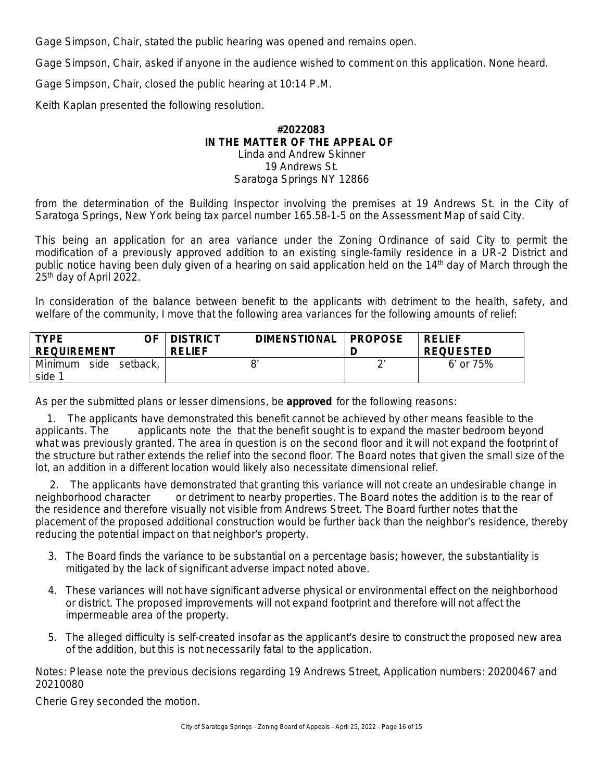Gage Simpson, Chair, stated the public hearing was opened and remains open.

Gage Simpson, Chair, asked if anyone in the audience wished to comment on this application. None heard.

Gage Simpson, Chair, closed the public hearing at 10:14 P.M.

Keith Kaplan presented the following resolution.

#### **#2022083 IN THE MATTER OF THE APPEAL OF** Linda and Andrew Skinner 19 Andrews St.

## Saratoga Springs NY 12866

from the determination of the Building Inspector involving the premises at 19 Andrews St. in the City of Saratoga Springs, New York being tax parcel number 165.58-1-5 on the Assessment Map of said City.

This being an application for an area variance under the Zoning Ordinance of said City to permit the modification of a previously approved addition to an existing single-family residence in a UR-2 District and public notice having been duly given of a hearing on said application held on the 14<sup>th</sup> day of March through the 25th day of April 2022.

In consideration of the balance between benefit to the applicants with detriment to the health, safety, and welfare of the community, I move that the following area variances for the following amounts of relief:

| <b>TYPF</b><br>OF<br><b>REQUIREMENT</b>          | <b>DIMENSTIONAL</b><br><b>DISTRICT</b><br><b>RELIEF</b> | <b>PROPOSE</b> | <b>RELIEF</b><br><b>REQUESTED</b> |
|--------------------------------------------------|---------------------------------------------------------|----------------|-----------------------------------|
| Minimum<br>side<br>setback,<br>side <sup>1</sup> |                                                         | $\sim$         | 6' or 75%                         |

As per the submitted plans or lesser dimensions, be **approved** for the following reasons:

 1. The applicants have demonstrated this benefit cannot be achieved by other means feasible to the applicants. The applicants note the that the benefit sought is to expand the master bedroom beyond what was previously granted. The area in question is on the second floor and it will not expand the footprint of the structure but rather extends the relief into the second floor. The Board notes that given the small size of the lot, an addition in a different location would likely also necessitate dimensional relief.

 2. The applicants have demonstrated that granting this variance will not create an undesirable change in neighborhood character or detriment to nearby properties. The Board notes the addition is to the rear of the residence and therefore visually not visible from Andrews Street. The Board further notes that the placement of the proposed additional construction would be further back than the neighbor's residence, thereby reducing the potential impact on that neighbor's property.

- 3. The Board finds the variance to be substantial on a percentage basis; however, the substantiality is mitigated by the lack of significant adverse impact noted above.
- 4. These variances will not have significant adverse physical or environmental effect on the neighborhood or district. The proposed improvements will not expand footprint and therefore will not affect the impermeable area of the property.
- 5. The alleged difficulty is self-created insofar as the applicant's desire to construct the proposed new area of the addition, but this is not necessarily fatal to the application.

Notes: Please note the previous decisions regarding 19 Andrews Street, Application numbers: 20200467 and 20210080

Cherie Grey seconded the motion.